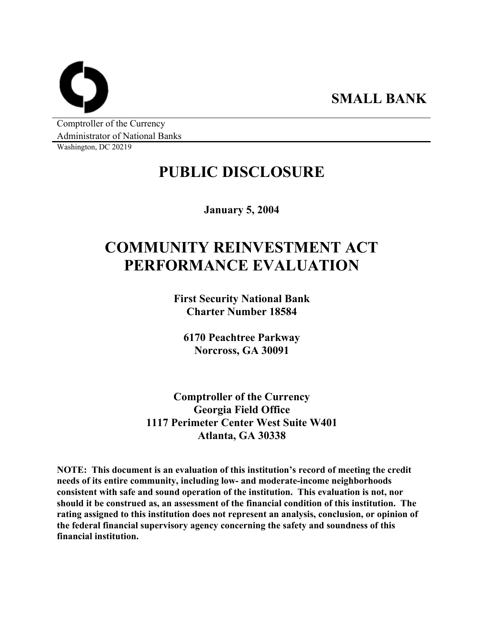**SMALL BANK** 

Comptroller of the Currency Administrator of National Banks

Washington, DC 20219

## **PUBLIC DISCLOSURE**

**January 5, 2004** 

# **COMMUNITY REINVESTMENT ACT PERFORMANCE EVALUATION**

**First Security National Bank Charter Number 18584** 

**6170 Peachtree Parkway Norcross, GA 30091** 

**Comptroller of the Currency Georgia Field Office 1117 Perimeter Center West Suite W401 Atlanta, GA 30338** 

**NOTE: This document is an evaluation of this institution's record of meeting the credit needs of its entire community, including low- and moderate-income neighborhoods consistent with safe and sound operation of the institution. This evaluation is not, nor should it be construed as, an assessment of the financial condition of this institution. The rating assigned to this institution does not represent an analysis, conclusion, or opinion of the federal financial supervisory agency concerning the safety and soundness of this financial institution.**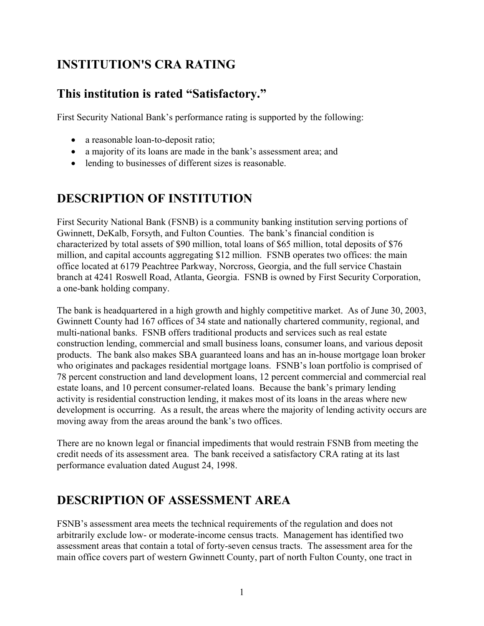### **INSTITUTION'S CRA RATING**

### **This institution is rated "Satisfactory."**

First Security National Bank's performance rating is supported by the following:

- a reasonable loan-to-deposit ratio;
- a majority of its loans are made in the bank's assessment area; and
- lending to businesses of different sizes is reasonable.

### **DESCRIPTION OF INSTITUTION**

First Security National Bank (FSNB) is a community banking institution serving portions of Gwinnett, DeKalb, Forsyth, and Fulton Counties. The bank's financial condition is characterized by total assets of \$90 million, total loans of \$65 million, total deposits of \$76 million, and capital accounts aggregating \$12 million. FSNB operates two offices: the main office located at 6179 Peachtree Parkway, Norcross, Georgia, and the full service Chastain branch at 4241 Roswell Road, Atlanta, Georgia. FSNB is owned by First Security Corporation, a one-bank holding company.

The bank is headquartered in a high growth and highly competitive market. As of June 30, 2003, Gwinnett County had 167 offices of 34 state and nationally chartered community, regional, and multi-national banks. FSNB offers traditional products and services such as real estate construction lending, commercial and small business loans, consumer loans, and various deposit products. The bank also makes SBA guaranteed loans and has an in-house mortgage loan broker who originates and packages residential mortgage loans. FSNB's loan portfolio is comprised of 78 percent construction and land development loans, 12 percent commercial and commercial real estate loans, and 10 percent consumer-related loans. Because the bank's primary lending activity is residential construction lending, it makes most of its loans in the areas where new development is occurring. As a result, the areas where the majority of lending activity occurs are moving away from the areas around the bank's two offices.

There are no known legal or financial impediments that would restrain FSNB from meeting the credit needs of its assessment area. The bank received a satisfactory CRA rating at its last performance evaluation dated August 24, 1998.

### **DESCRIPTION OF ASSESSMENT AREA**

FSNB's assessment area meets the technical requirements of the regulation and does not arbitrarily exclude low- or moderate-income census tracts. Management has identified two assessment areas that contain a total of forty-seven census tracts. The assessment area for the main office covers part of western Gwinnett County, part of north Fulton County, one tract in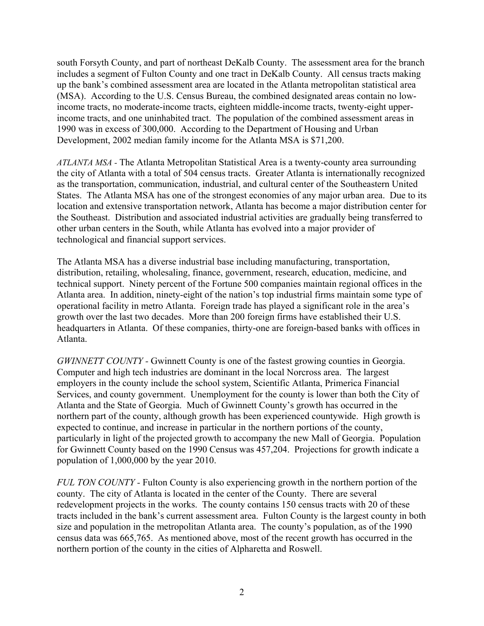south Forsyth County, and part of northeast DeKalb County. The assessment area for the branch includes a segment of Fulton County and one tract in DeKalb County. All census tracts making up the bank's combined assessment area are located in the Atlanta metropolitan statistical area (MSA). According to the U.S. Census Bureau, the combined designated areas contain no lowincome tracts, no moderate-income tracts, eighteen middle-income tracts, twenty-eight upperincome tracts, and one uninhabited tract. The population of the combined assessment areas in 1990 was in excess of 300,000. According to the Department of Housing and Urban Development, 2002 median family income for the Atlanta MSA is \$71,200.

*ATLANTA MSA -* The Atlanta Metropolitan Statistical Area is a twenty-county area surrounding the city of Atlanta with a total of 504 census tracts. Greater Atlanta is internationally recognized as the transportation, communication, industrial, and cultural center of the Southeastern United States. The Atlanta MSA has one of the strongest economies of any major urban area. Due to its location and extensive transportation network, Atlanta has become a major distribution center for the Southeast. Distribution and associated industrial activities are gradually being transferred to other urban centers in the South, while Atlanta has evolved into a major provider of technological and financial support services.

The Atlanta MSA has a diverse industrial base including manufacturing, transportation, distribution, retailing, wholesaling, finance, government, research, education, medicine, and technical support. Ninety percent of the Fortune 500 companies maintain regional offices in the Atlanta area. In addition, ninety-eight of the nation's top industrial firms maintain some type of operational facility in metro Atlanta. Foreign trade has played a significant role in the area's growth over the last two decades. More than 200 foreign firms have established their U.S. headquarters in Atlanta. Of these companies, thirty-one are foreign-based banks with offices in Atlanta.

*GWINNETT COUNTY* - Gwinnett County is one of the fastest growing counties in Georgia. Computer and high tech industries are dominant in the local Norcross area. The largest employers in the county include the school system, Scientific Atlanta, Primerica Financial Services, and county government. Unemployment for the county is lower than both the City of Atlanta and the State of Georgia. Much of Gwinnett County's growth has occurred in the northern part of the county, although growth has been experienced countywide. High growth is expected to continue, and increase in particular in the northern portions of the county, particularly in light of the projected growth to accompany the new Mall of Georgia. Population for Gwinnett County based on the 1990 Census was 457,204. Projections for growth indicate a population of 1,000,000 by the year 2010.

*FUL TON COUNTY -* Fulton County is also experiencing growth in the northern portion of the county. The city of Atlanta is located in the center of the County. There are several redevelopment projects in the works. The county contains 150 census tracts with 20 of these tracts included in the bank's current assessment area. Fulton County is the largest county in both size and population in the metropolitan Atlanta area. The county's population, as of the 1990 census data was 665,765. As mentioned above, most of the recent growth has occurred in the northern portion of the county in the cities of Alpharetta and Roswell.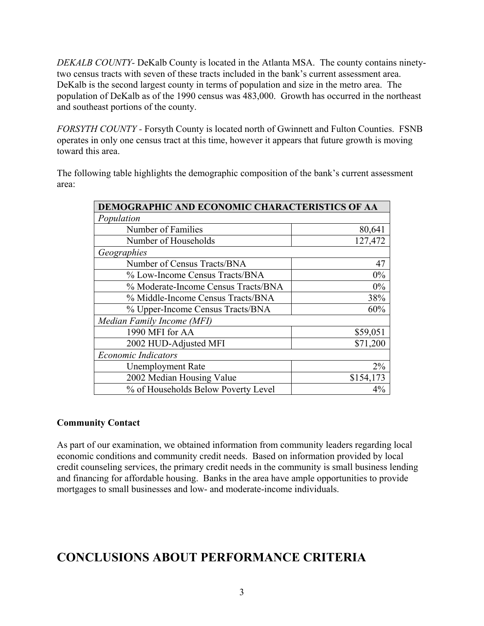*DEKALB COUNTY-* DeKalb County is located in the Atlanta MSA. The county contains ninetytwo census tracts with seven of these tracts included in the bank's current assessment area. DeKalb is the second largest county in terms of population and size in the metro area. The population of DeKalb as of the 1990 census was 483,000. Growth has occurred in the northeast and southeast portions of the county.

*FORSYTH COUNTY -* Forsyth County is located north of Gwinnett and Fulton Counties. FSNB operates in only one census tract at this time, however it appears that future growth is moving toward this area.

The following table highlights the demographic composition of the bank's current assessment area:

| DEMOGRAPHIC AND ECONOMIC CHARACTERISTICS OF AA |           |  |  |  |  |
|------------------------------------------------|-----------|--|--|--|--|
| Population                                     |           |  |  |  |  |
| Number of Families                             | 80,641    |  |  |  |  |
| Number of Households                           | 127,472   |  |  |  |  |
| Geographies                                    |           |  |  |  |  |
| Number of Census Tracts/BNA                    | 47        |  |  |  |  |
| % Low-Income Census Tracts/BNA                 | 0%        |  |  |  |  |
| % Moderate-Income Census Tracts/BNA            | 0%        |  |  |  |  |
| % Middle-Income Census Tracts/BNA              | 38%       |  |  |  |  |
| % Upper-Income Census Tracts/BNA               | 60%       |  |  |  |  |
| Median Family Income (MFI)                     |           |  |  |  |  |
| 1990 MFI for AA                                | \$59,051  |  |  |  |  |
| 2002 HUD-Adjusted MFI                          | \$71,200  |  |  |  |  |
| <b>Economic Indicators</b>                     |           |  |  |  |  |
| <b>Unemployment Rate</b>                       | $2\%$     |  |  |  |  |
| 2002 Median Housing Value                      | \$154,173 |  |  |  |  |
| % of Households Below Poverty Level            | 4%        |  |  |  |  |

### **Community Contact**

As part of our examination, we obtained information from community leaders regarding local economic conditions and community credit needs. Based on information provided by local credit counseling services, the primary credit needs in the community is small business lending and financing for affordable housing. Banks in the area have ample opportunities to provide mortgages to small businesses and low- and moderate-income individuals.

### **CONCLUSIONS ABOUT PERFORMANCE CRITERIA**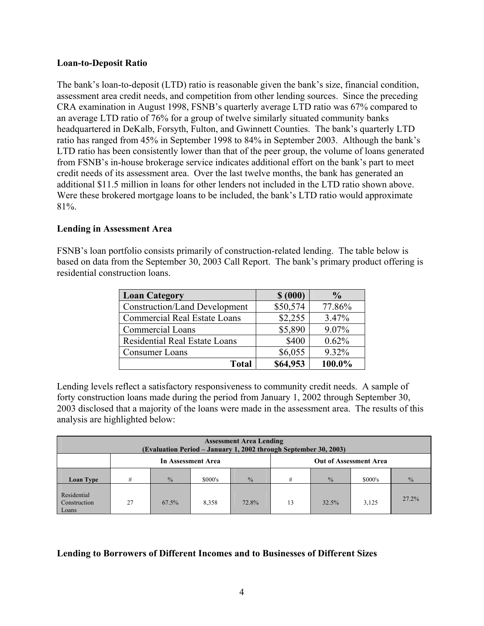#### **Loan-to-Deposit Ratio**

The bank's loan-to-deposit (LTD) ratio is reasonable given the bank's size, financial condition, assessment area credit needs, and competition from other lending sources. Since the preceding CRA examination in August 1998, FSNB's quarterly average LTD ratio was 67% compared to an average LTD ratio of 76% for a group of twelve similarly situated community banks headquartered in DeKalb, Forsyth, Fulton, and Gwinnett Counties. The bank's quarterly LTD ratio has ranged from 45% in September 1998 to 84% in September 2003. Although the bank's LTD ratio has been consistently lower than that of the peer group, the volume of loans generated from FSNB's in-house brokerage service indicates additional effort on the bank's part to meet credit needs of its assessment area. Over the last twelve months, the bank has generated an additional \$11.5 million in loans for other lenders not included in the LTD ratio shown above. Were these brokered mortgage loans to be included, the bank's LTD ratio would approximate 81%.

### **Lending in Assessment Area**

FSNB's loan portfolio consists primarily of construction-related lending. The table below is based on data from the September 30, 2003 Call Report. The bank's primary product offering is residential construction loans.

| <b>Loan Category</b>                 | \$ (000) | $\frac{6}{9}$ |  |
|--------------------------------------|----------|---------------|--|
| <b>Construction/Land Development</b> | \$50,574 | 77.86%        |  |
| <b>Commercial Real Estate Loans</b>  | \$2,255  | 3.47%         |  |
| <b>Commercial Loans</b>              | \$5,890  | 9.07%         |  |
| <b>Residential Real Estate Loans</b> | \$400    | 0.62%         |  |
| Consumer Loans                       | \$6,055  | 9.32%         |  |
| <b>Total</b>                         | \$64,953 | 100.0%        |  |

Lending levels reflect a satisfactory responsiveness to community credit needs. A sample of forty construction loans made during the period from January 1, 2002 through September 30, 2003 disclosed that a majority of the loans were made in the assessment area. The results of this analysis are highlighted below:

| <b>Assessment Area Lending</b><br>(Evaluation Period – January 1, 2002 through September 30, 2003) |                    |               |         |               |                               |               |         |               |  |  |
|----------------------------------------------------------------------------------------------------|--------------------|---------------|---------|---------------|-------------------------------|---------------|---------|---------------|--|--|
|                                                                                                    | In Assessment Area |               |         |               | <b>Out of Assessment Area</b> |               |         |               |  |  |
| Loan Type                                                                                          | #                  | $\frac{0}{6}$ | \$000's | $\frac{0}{0}$ | #                             | $\frac{0}{0}$ | \$000's | $\frac{0}{0}$ |  |  |
| Residential<br>Construction<br>Loans                                                               | 27                 | 67.5%         | 8,358   | 72.8%         | 13                            | 32.5%         | 3,125   | $27.2\%$      |  |  |

#### **Lending to Borrowers of Different Incomes and to Businesses of Different Sizes**